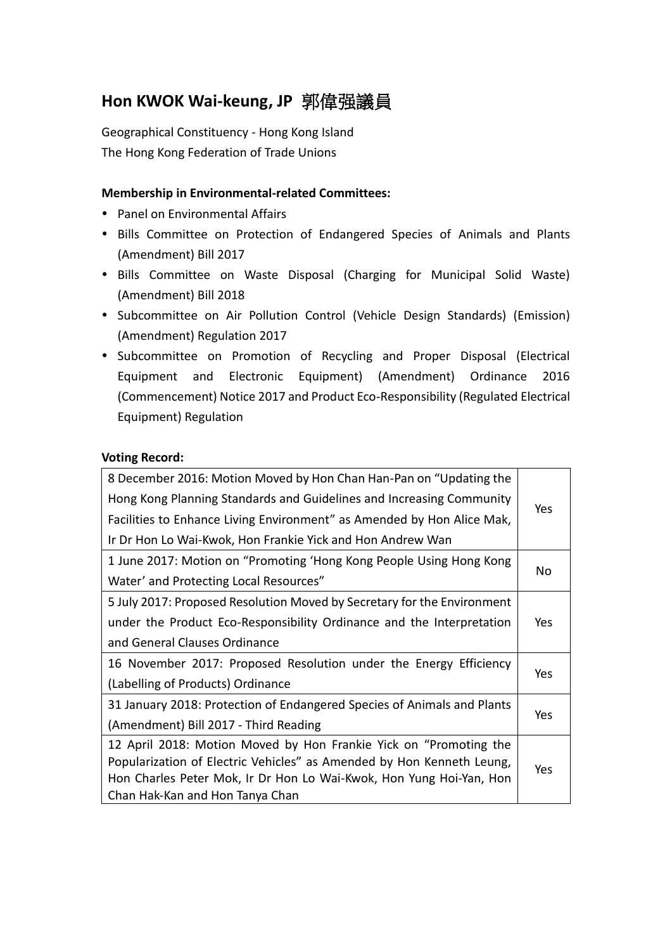# **Hon KWOK Wai-keung, JP** 郭偉强議員

Geographical Constituency - Hong Kong Island The Hong Kong Federation of Trade Unions

### **Membership in Environmental-related Committees:**

- Panel on Environmental Affairs
- Bills Committee on Protection of Endangered Species of Animals and Plants (Amendment) Bill 2017
- Bills Committee on Waste Disposal (Charging for Municipal Solid Waste) (Amendment) Bill 2018
- Subcommittee on Air Pollution Control (Vehicle Design Standards) (Emission) (Amendment) Regulation 2017
- Subcommittee on Promotion of Recycling and Proper Disposal (Electrical Equipment and Electronic Equipment) (Amendment) Ordinance 2016 (Commencement) Notice 2017 and Product Eco-Responsibility (Regulated Electrical Equipment) Regulation

#### **Voting Record:**

| 8 December 2016: Motion Moved by Hon Chan Han-Pan on "Updating the      |     |  |
|-------------------------------------------------------------------------|-----|--|
| Hong Kong Planning Standards and Guidelines and Increasing Community    | Yes |  |
| Facilities to Enhance Living Environment" as Amended by Hon Alice Mak,  |     |  |
| Ir Dr Hon Lo Wai-Kwok, Hon Frankie Yick and Hon Andrew Wan              |     |  |
| 1 June 2017: Motion on "Promoting 'Hong Kong People Using Hong Kong     |     |  |
| Water' and Protecting Local Resources"                                  | No  |  |
| 5 July 2017: Proposed Resolution Moved by Secretary for the Environment |     |  |
| under the Product Eco-Responsibility Ordinance and the Interpretation   |     |  |
| and General Clauses Ordinance                                           |     |  |
| 16 November 2017: Proposed Resolution under the Energy Efficiency       |     |  |
| (Labelling of Products) Ordinance                                       | Yes |  |
| 31 January 2018: Protection of Endangered Species of Animals and Plants |     |  |
| (Amendment) Bill 2017 - Third Reading                                   | Yes |  |
| 12 April 2018: Motion Moved by Hon Frankie Yick on "Promoting the       |     |  |
| Popularization of Electric Vehicles" as Amended by Hon Kenneth Leung,   | Yes |  |
| Hon Charles Peter Mok, Ir Dr Hon Lo Wai-Kwok, Hon Yung Hoi-Yan, Hon     |     |  |
| Chan Hak-Kan and Hon Tanya Chan                                         |     |  |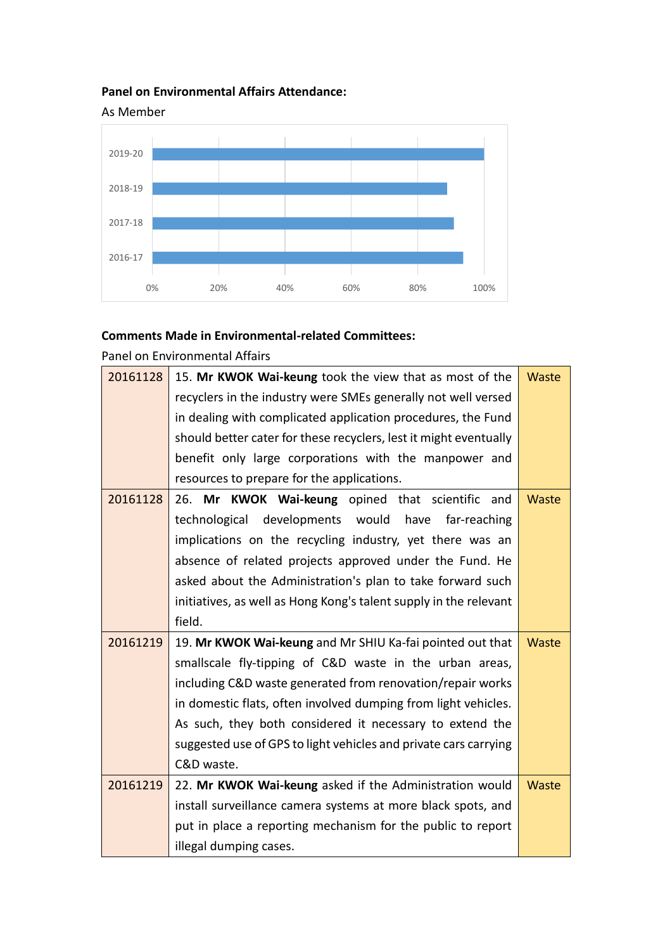## **Panel on Environmental Affairs Attendance:**



## **Comments Made in Environmental-related Committees:**

Panel on Environmental Affairs

| 20161128 | 15. Mr KWOK Wai-keung took the view that as most of the           | <b>Waste</b> |
|----------|-------------------------------------------------------------------|--------------|
|          | recyclers in the industry were SMEs generally not well versed     |              |
|          | in dealing with complicated application procedures, the Fund      |              |
|          | should better cater for these recyclers, lest it might eventually |              |
|          | benefit only large corporations with the manpower and             |              |
|          | resources to prepare for the applications.                        |              |
| 20161128 | 26. Mr KWOK Wai-keung opined that scientific and                  | <b>Waste</b> |
|          | technological developments would have<br>far-reaching             |              |
|          | implications on the recycling industry, yet there was an          |              |
|          | absence of related projects approved under the Fund. He           |              |
|          | asked about the Administration's plan to take forward such        |              |
|          | initiatives, as well as Hong Kong's talent supply in the relevant |              |
|          | field.                                                            |              |
| 20161219 | 19. Mr KWOK Wai-keung and Mr SHIU Ka-fai pointed out that         | <b>Waste</b> |
|          | smallscale fly-tipping of C&D waste in the urban areas,           |              |
|          | including C&D waste generated from renovation/repair works        |              |
|          | in domestic flats, often involved dumping from light vehicles.    |              |
|          | As such, they both considered it necessary to extend the          |              |
|          | suggested use of GPS to light vehicles and private cars carrying  |              |
|          | C&D waste.                                                        |              |
| 20161219 | 22. Mr KWOK Wai-keung asked if the Administration would           | <b>Waste</b> |
|          | install surveillance camera systems at more black spots, and      |              |
|          | put in place a reporting mechanism for the public to report       |              |
|          | illegal dumping cases.                                            |              |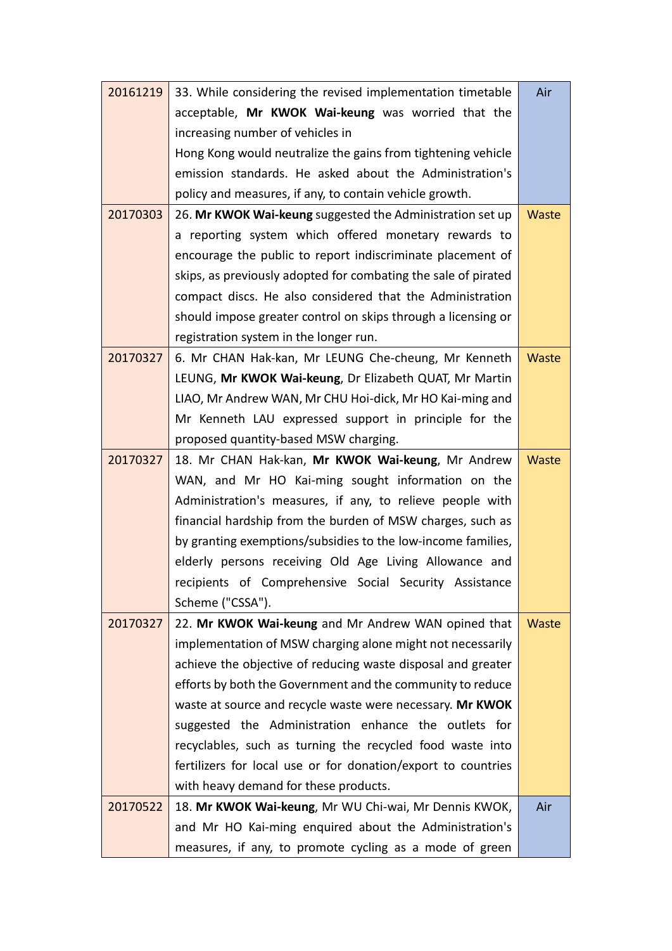| 20161219 | 33. While considering the revised implementation timetable     | Air          |  |  |
|----------|----------------------------------------------------------------|--------------|--|--|
|          | acceptable, Mr KWOK Wai-keung was worried that the             |              |  |  |
|          | increasing number of vehicles in                               |              |  |  |
|          | Hong Kong would neutralize the gains from tightening vehicle   |              |  |  |
|          | emission standards. He asked about the Administration's        |              |  |  |
|          | policy and measures, if any, to contain vehicle growth.        |              |  |  |
| 20170303 | 26. Mr KWOK Wai-keung suggested the Administration set up      | Waste        |  |  |
|          | a reporting system which offered monetary rewards to           |              |  |  |
|          | encourage the public to report indiscriminate placement of     |              |  |  |
|          | skips, as previously adopted for combating the sale of pirated |              |  |  |
|          | compact discs. He also considered that the Administration      |              |  |  |
|          | should impose greater control on skips through a licensing or  |              |  |  |
|          | registration system in the longer run.                         |              |  |  |
| 20170327 | 6. Mr CHAN Hak-kan, Mr LEUNG Che-cheung, Mr Kenneth            | Waste        |  |  |
|          | LEUNG, Mr KWOK Wai-keung, Dr Elizabeth QUAT, Mr Martin         |              |  |  |
|          | LIAO, Mr Andrew WAN, Mr CHU Hoi-dick, Mr HO Kai-ming and       |              |  |  |
|          | Mr Kenneth LAU expressed support in principle for the          |              |  |  |
|          | proposed quantity-based MSW charging.                          |              |  |  |
| 20170327 | 18. Mr CHAN Hak-kan, Mr KWOK Wai-keung, Mr Andrew              | Waste        |  |  |
|          | WAN, and Mr HO Kai-ming sought information on the              |              |  |  |
|          | Administration's measures, if any, to relieve people with      |              |  |  |
|          | financial hardship from the burden of MSW charges, such as     |              |  |  |
|          | by granting exemptions/subsidies to the low-income families,   |              |  |  |
|          | elderly persons receiving Old Age Living Allowance and         |              |  |  |
|          | recipients of Comprehensive Social Security Assistance         |              |  |  |
|          | Scheme ("CSSA").                                               |              |  |  |
| 20170327 | 22. Mr KWOK Wai-keung and Mr Andrew WAN opined that            | <b>Waste</b> |  |  |
|          | implementation of MSW charging alone might not necessarily     |              |  |  |
|          | achieve the objective of reducing waste disposal and greater   |              |  |  |
|          | efforts by both the Government and the community to reduce     |              |  |  |
|          | waste at source and recycle waste were necessary. Mr KWOK      |              |  |  |
|          | suggested the Administration enhance the outlets for           |              |  |  |
|          | recyclables, such as turning the recycled food waste into      |              |  |  |
|          | fertilizers for local use or for donation/export to countries  |              |  |  |
|          | with heavy demand for these products.                          |              |  |  |
| 20170522 | 18. Mr KWOK Wai-keung, Mr WU Chi-wai, Mr Dennis KWOK,          | Air          |  |  |
|          | and Mr HO Kai-ming enquired about the Administration's         |              |  |  |
|          | measures, if any, to promote cycling as a mode of green        |              |  |  |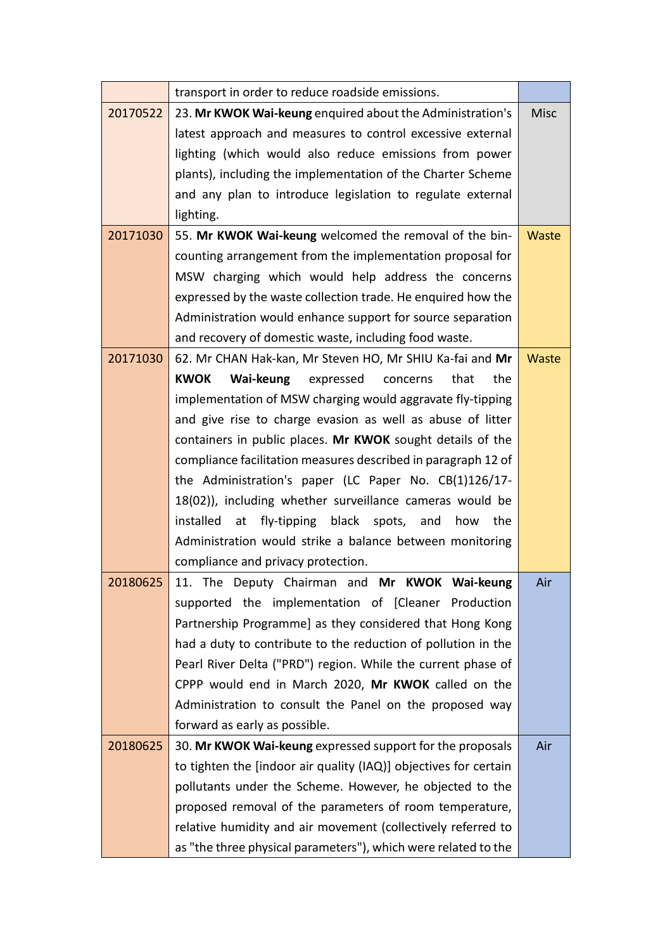|          | transport in order to reduce roadside emissions.                 |              |
|----------|------------------------------------------------------------------|--------------|
| 20170522 | 23. Mr KWOK Wai-keung enquired about the Administration's        | <b>Misc</b>  |
|          | latest approach and measures to control excessive external       |              |
|          | lighting (which would also reduce emissions from power           |              |
|          | plants), including the implementation of the Charter Scheme      |              |
|          | and any plan to introduce legislation to regulate external       |              |
|          | lighting.                                                        |              |
| 20171030 | 55. Mr KWOK Wai-keung welcomed the removal of the bin-           | <b>Waste</b> |
|          | counting arrangement from the implementation proposal for        |              |
|          | MSW charging which would help address the concerns               |              |
|          | expressed by the waste collection trade. He enquired how the     |              |
|          | Administration would enhance support for source separation       |              |
|          | and recovery of domestic waste, including food waste.            |              |
| 20171030 | 62. Mr CHAN Hak-kan, Mr Steven HO, Mr SHIU Ka-fai and Mr         | Waste        |
|          | <b>KWOK</b><br>Wai-keung<br>expressed<br>that<br>the<br>concerns |              |
|          | implementation of MSW charging would aggravate fly-tipping       |              |
|          | and give rise to charge evasion as well as abuse of litter       |              |
|          | containers in public places. Mr KWOK sought details of the       |              |
|          | compliance facilitation measures described in paragraph 12 of    |              |
|          | the Administration's paper (LC Paper No. CB(1)126/17-            |              |
|          | 18(02)), including whether surveillance cameras would be         |              |
|          | installed<br>at<br>fly-tipping<br>black spots, and<br>how<br>the |              |
|          | Administration would strike a balance between monitoring         |              |
|          | compliance and privacy protection.                               |              |
| 20180625 | 11. The Deputy Chairman and Mr KWOK Wai-keung                    | Air          |
|          | supported the implementation of [Cleaner Production              |              |
|          | Partnership Programme] as they considered that Hong Kong         |              |
|          | had a duty to contribute to the reduction of pollution in the    |              |
|          | Pearl River Delta ("PRD") region. While the current phase of     |              |
|          | CPPP would end in March 2020, Mr KWOK called on the              |              |
|          | Administration to consult the Panel on the proposed way          |              |
|          | forward as early as possible.                                    |              |
| 20180625 | 30. Mr KWOK Wai-keung expressed support for the proposals        | Air          |
|          | to tighten the [indoor air quality (IAQ)] objectives for certain |              |
|          | pollutants under the Scheme. However, he objected to the         |              |
|          | proposed removal of the parameters of room temperature,          |              |
|          | relative humidity and air movement (collectively referred to     |              |
|          | as "the three physical parameters"), which were related to the   |              |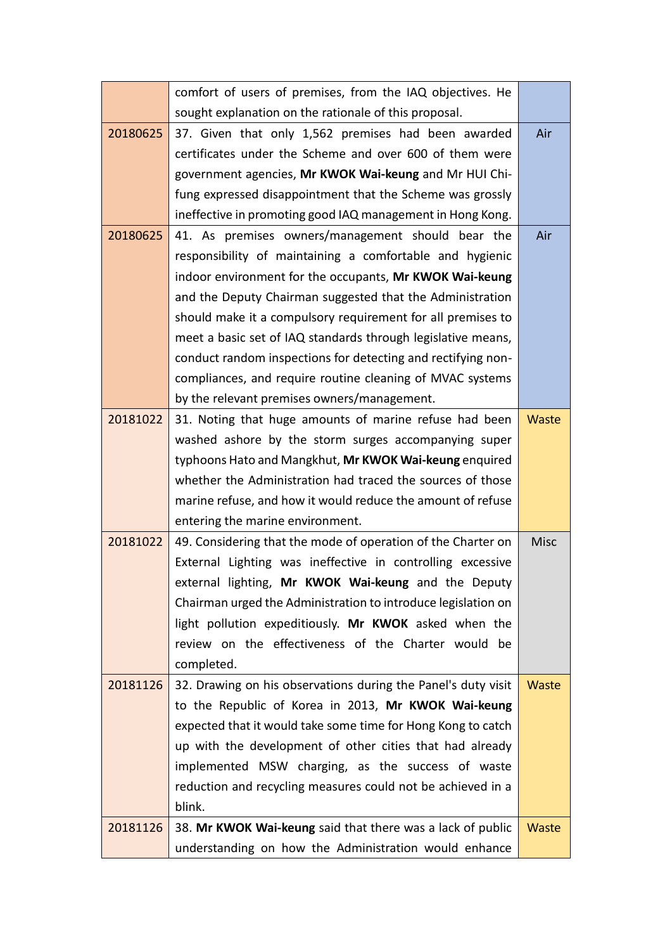|          | comfort of users of premises, from the IAQ objectives. He     |              |  |  |
|----------|---------------------------------------------------------------|--------------|--|--|
|          | sought explanation on the rationale of this proposal.         |              |  |  |
| 20180625 | 37. Given that only 1,562 premises had been awarded           | Air          |  |  |
|          | certificates under the Scheme and over 600 of them were       |              |  |  |
|          | government agencies, Mr KWOK Wai-keung and Mr HUI Chi-        |              |  |  |
|          | fung expressed disappointment that the Scheme was grossly     |              |  |  |
|          | ineffective in promoting good IAQ management in Hong Kong.    |              |  |  |
| 20180625 | 41. As premises owners/management should bear the             | Air          |  |  |
|          | responsibility of maintaining a comfortable and hygienic      |              |  |  |
|          | indoor environment for the occupants, Mr KWOK Wai-keung       |              |  |  |
|          | and the Deputy Chairman suggested that the Administration     |              |  |  |
|          | should make it a compulsory requirement for all premises to   |              |  |  |
|          | meet a basic set of IAQ standards through legislative means,  |              |  |  |
|          | conduct random inspections for detecting and rectifying non-  |              |  |  |
|          | compliances, and require routine cleaning of MVAC systems     |              |  |  |
|          | by the relevant premises owners/management.                   |              |  |  |
| 20181022 | 31. Noting that huge amounts of marine refuse had been        | Waste        |  |  |
|          | washed ashore by the storm surges accompanying super          |              |  |  |
|          | typhoons Hato and Mangkhut, Mr KWOK Wai-keung enquired        |              |  |  |
|          | whether the Administration had traced the sources of those    |              |  |  |
|          | marine refuse, and how it would reduce the amount of refuse   |              |  |  |
|          | entering the marine environment.                              |              |  |  |
| 20181022 | 49. Considering that the mode of operation of the Charter on  | <b>Misc</b>  |  |  |
|          | External Lighting was ineffective in controlling excessive    |              |  |  |
|          | external lighting, Mr KWOK Wai-keung and the Deputy           |              |  |  |
|          | Chairman urged the Administration to introduce legislation on |              |  |  |
|          | light pollution expeditiously. Mr KWOK asked when the         |              |  |  |
|          | review on the effectiveness of the Charter would be           |              |  |  |
|          | completed.                                                    |              |  |  |
| 20181126 | 32. Drawing on his observations during the Panel's duty visit | <b>Waste</b> |  |  |
|          | to the Republic of Korea in 2013, Mr KWOK Wai-keung           |              |  |  |
|          | expected that it would take some time for Hong Kong to catch  |              |  |  |
|          | up with the development of other cities that had already      |              |  |  |
|          | implemented MSW charging, as the success of waste             |              |  |  |
|          | reduction and recycling measures could not be achieved in a   |              |  |  |
|          | blink.                                                        |              |  |  |
| 20181126 | 38. Mr KWOK Wai-keung said that there was a lack of public    | Waste        |  |  |
|          | understanding on how the Administration would enhance         |              |  |  |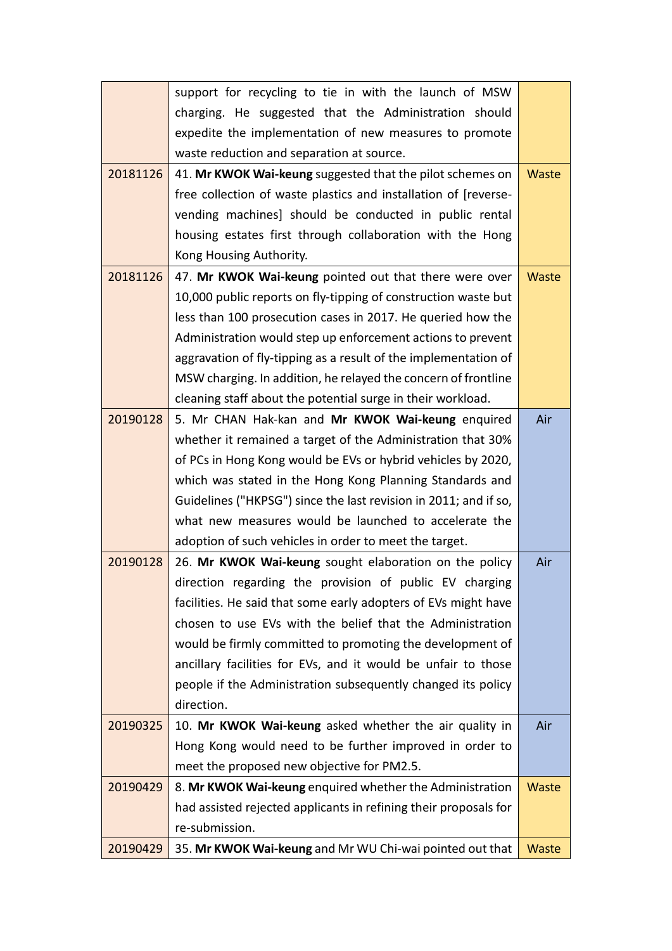|          | support for recycling to tie in with the launch of MSW           |              |
|----------|------------------------------------------------------------------|--------------|
|          | charging. He suggested that the Administration should            |              |
|          | expedite the implementation of new measures to promote           |              |
|          | waste reduction and separation at source.                        |              |
| 20181126 | 41. Mr KWOK Wai-keung suggested that the pilot schemes on        | <b>Waste</b> |
|          | free collection of waste plastics and installation of [reverse-  |              |
|          | vending machines] should be conducted in public rental           |              |
|          | housing estates first through collaboration with the Hong        |              |
|          | Kong Housing Authority.                                          |              |
| 20181126 | 47. Mr KWOK Wai-keung pointed out that there were over           | Waste        |
|          | 10,000 public reports on fly-tipping of construction waste but   |              |
|          | less than 100 prosecution cases in 2017. He queried how the      |              |
|          | Administration would step up enforcement actions to prevent      |              |
|          | aggravation of fly-tipping as a result of the implementation of  |              |
|          | MSW charging. In addition, he relayed the concern of frontline   |              |
|          | cleaning staff about the potential surge in their workload.      |              |
| 20190128 | 5. Mr CHAN Hak-kan and Mr KWOK Wai-keung enquired                | Air          |
|          | whether it remained a target of the Administration that 30%      |              |
|          | of PCs in Hong Kong would be EVs or hybrid vehicles by 2020,     |              |
|          | which was stated in the Hong Kong Planning Standards and         |              |
|          | Guidelines ("HKPSG") since the last revision in 2011; and if so, |              |
|          | what new measures would be launched to accelerate the            |              |
|          | adoption of such vehicles in order to meet the target.           |              |
| 20190128 | 26. Mr KWOK Wai-keung sought elaboration on the policy           | Air          |
|          | direction regarding the provision of public EV charging          |              |
|          | facilities. He said that some early adopters of EVs might have   |              |
|          | chosen to use EVs with the belief that the Administration        |              |
|          | would be firmly committed to promoting the development of        |              |
|          | ancillary facilities for EVs, and it would be unfair to those    |              |
|          | people if the Administration subsequently changed its policy     |              |
|          | direction.                                                       |              |
| 20190325 | 10. Mr KWOK Wai-keung asked whether the air quality in           | Air          |
|          | Hong Kong would need to be further improved in order to          |              |
|          | meet the proposed new objective for PM2.5.                       |              |
| 20190429 | 8. Mr KWOK Wai-keung enquired whether the Administration         | Waste        |
|          | had assisted rejected applicants in refining their proposals for |              |
|          | re-submission.                                                   |              |
| 20190429 | 35. Mr KWOK Wai-keung and Mr WU Chi-wai pointed out that         | <b>Waste</b> |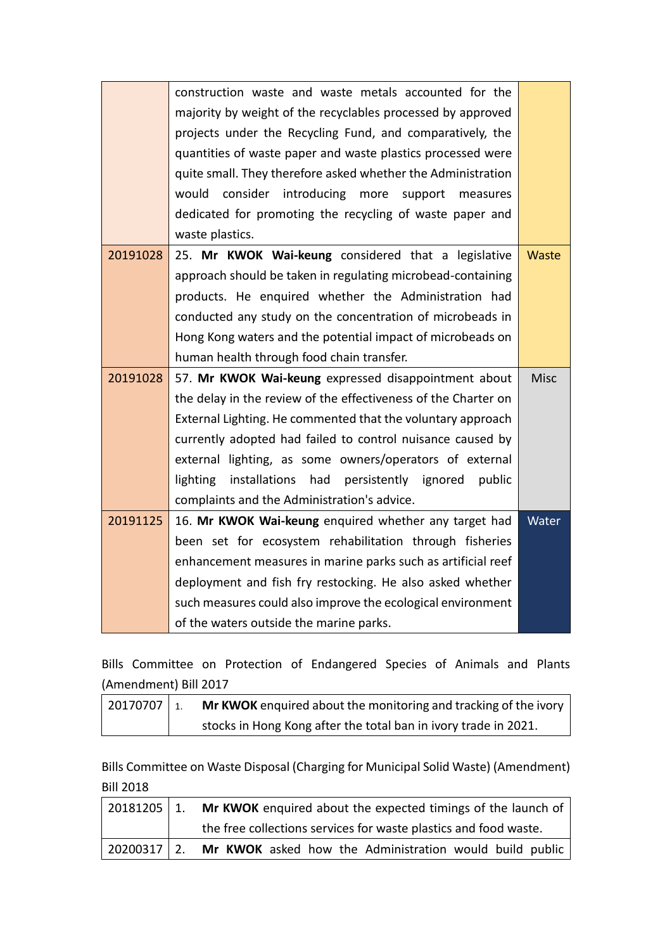|          | construction waste and waste metals accounted for the              |       |
|----------|--------------------------------------------------------------------|-------|
|          | majority by weight of the recyclables processed by approved        |       |
|          | projects under the Recycling Fund, and comparatively, the          |       |
|          | quantities of waste paper and waste plastics processed were        |       |
|          | quite small. They therefore asked whether the Administration       |       |
|          | would<br>consider introducing more<br>support<br>measures          |       |
|          | dedicated for promoting the recycling of waste paper and           |       |
|          | waste plastics.                                                    |       |
| 20191028 | 25. Mr KWOK Wai-keung considered that a legislative                | Waste |
|          | approach should be taken in regulating microbead-containing        |       |
|          | products. He enquired whether the Administration had               |       |
|          | conducted any study on the concentration of microbeads in          |       |
|          | Hong Kong waters and the potential impact of microbeads on         |       |
|          | human health through food chain transfer.                          |       |
| 20191028 | 57. Mr KWOK Wai-keung expressed disappointment about               | Misc  |
|          | the delay in the review of the effectiveness of the Charter on     |       |
|          | External Lighting. He commented that the voluntary approach        |       |
|          | currently adopted had failed to control nuisance caused by         |       |
|          | external lighting, as some owners/operators of external            |       |
|          | lighting<br>had<br>installations<br>persistently ignored<br>public |       |
|          | complaints and the Administration's advice.                        |       |
| 20191125 | 16. Mr KWOK Wai-keung enquired whether any target had              | Water |
|          | been set for ecosystem rehabilitation through fisheries            |       |
|          | enhancement measures in marine parks such as artificial reef       |       |
|          | deployment and fish fry restocking. He also asked whether          |       |
|          | such measures could also improve the ecological environment        |       |
|          | of the waters outside the marine parks.                            |       |

Bills Committee on Protection of Endangered Species of Animals and Plants (Amendment) Bill 2017

| $\frac{1}{20170707}$ 1. | Mr KWOK enquired about the monitoring and tracking of the ivory |
|-------------------------|-----------------------------------------------------------------|
|                         | stocks in Hong Kong after the total ban in ivory trade in 2021. |

Bills Committee on Waste Disposal (Charging for Municipal Solid Waste) (Amendment) Bill 2018

| 20181205 1. | Mr KWOK enquired about the expected timings of the launch of     |
|-------------|------------------------------------------------------------------|
|             | the free collections services for waste plastics and food waste. |
| 20200317 2. | Mr KWOK asked how the Administration would build public          |